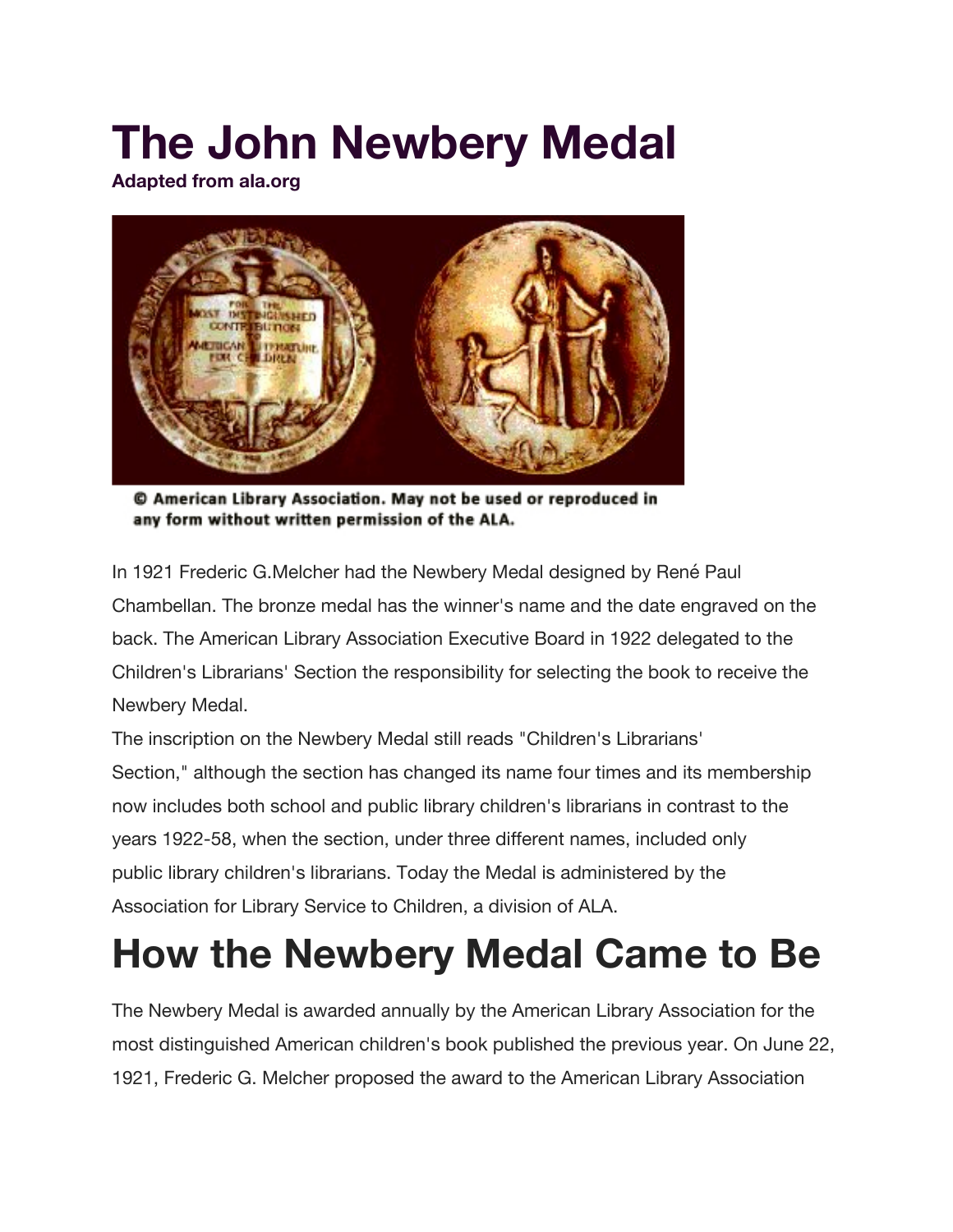# **The John Newbery Medal**

**Adapted from ala.org**



© American Library Association. May not be used or reproduced in any form without written permission of the ALA.

In 1921 Frederic G.Melcher had the Newbery Medal designed by René Paul Chambellan. The bronze medal has the winner's name and the date engraved on the back. The American Library Association Executive Board in 1922 delegated to the Children's Librarians' Section the responsibility for selecting the book to receive the Newbery Medal.

The inscription on the Newbery Medal still reads "Children's Librarians' Section," although the section has changed its name four times and its membership now includes both school and public library children's librarians in contrast to the years 1922-58, when the section, under three different names, included only public library children's librarians. Today the Medal is administered by the Association for Library Service to Children, a division of ALA.

## **How the Newbery Medal Came to Be**

The Newbery Medal is awarded annually by the American Library Association for the most distinguished American children's book published the previous year. On June 22, 1921, Frederic G. Melcher proposed the award to the American Library Association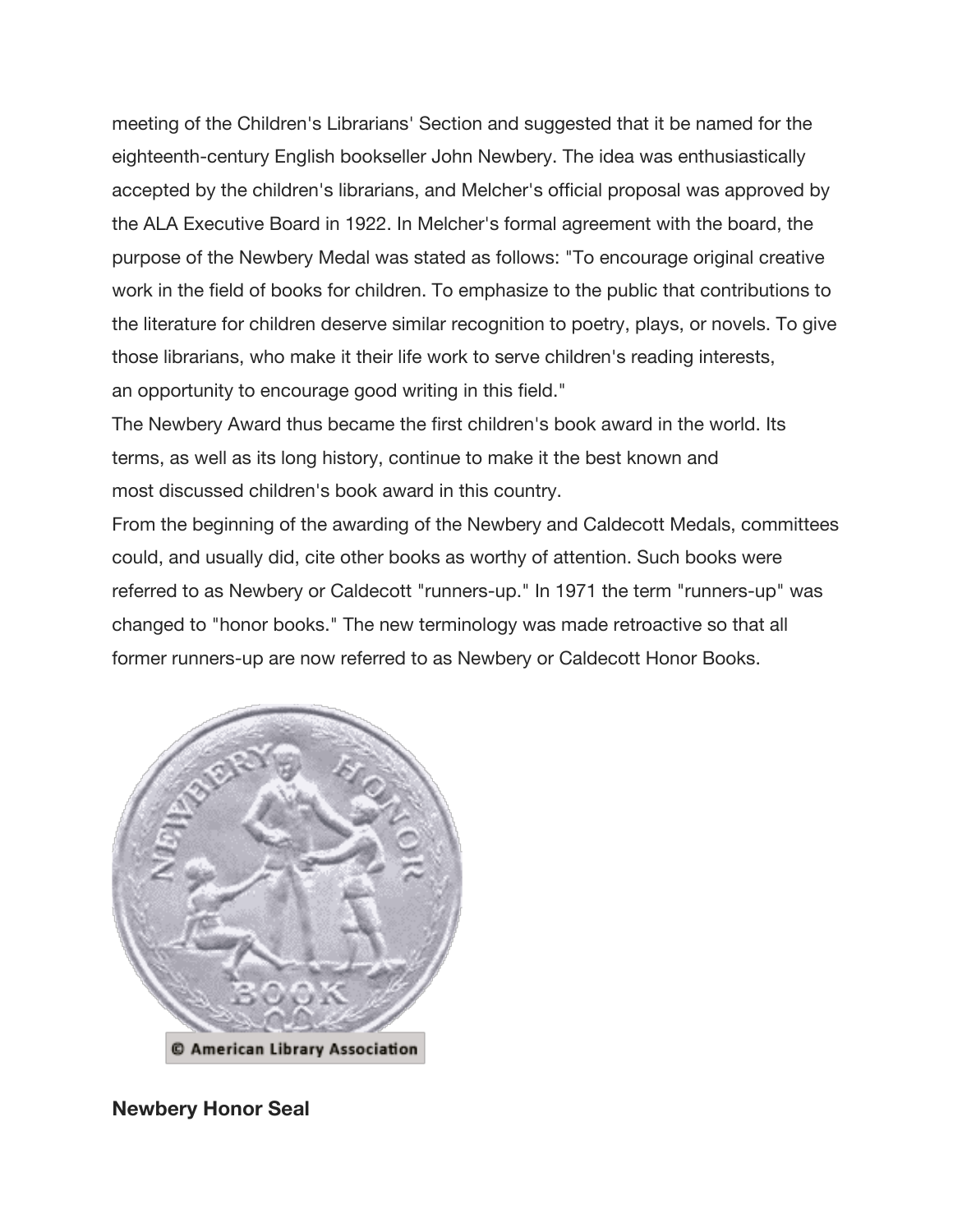meeting of the Children's Librarians' Section and suggested that it be named for the eighteenth-century English bookseller John Newbery. The idea was enthusiastically accepted by the children's librarians, and Melcher's official proposal was approved by the ALA Executive Board in 1922. In Melcher's formal agreement with the board, the purpose of the Newbery Medal was stated as follows: "To encourage original creative work in the field of books for children. To emphasize to the public that contributions to the literature for children deserve similar recognition to poetry, plays, or novels. To give those librarians, who make it their life work to serve children's reading interests, an opportunity to encourage good writing in this field."

The Newbery Award thus became the first children's book award in the world. Its terms, as well as its long history, continue to make it the best known and most discussed children's book award in this country.

From the beginning of the awarding of the Newbery and Caldecott Medals, committees could, and usually did, cite other books as worthy of attention. Such books were referred to as Newbery or Caldecott "runners-up." In 1971 the term "runners-up" was changed to "honor books." The new terminology was made retroactive so that all former runners-up are now referred to as Newbery or Caldecott Honor Books.



**Newbery Honor Seal**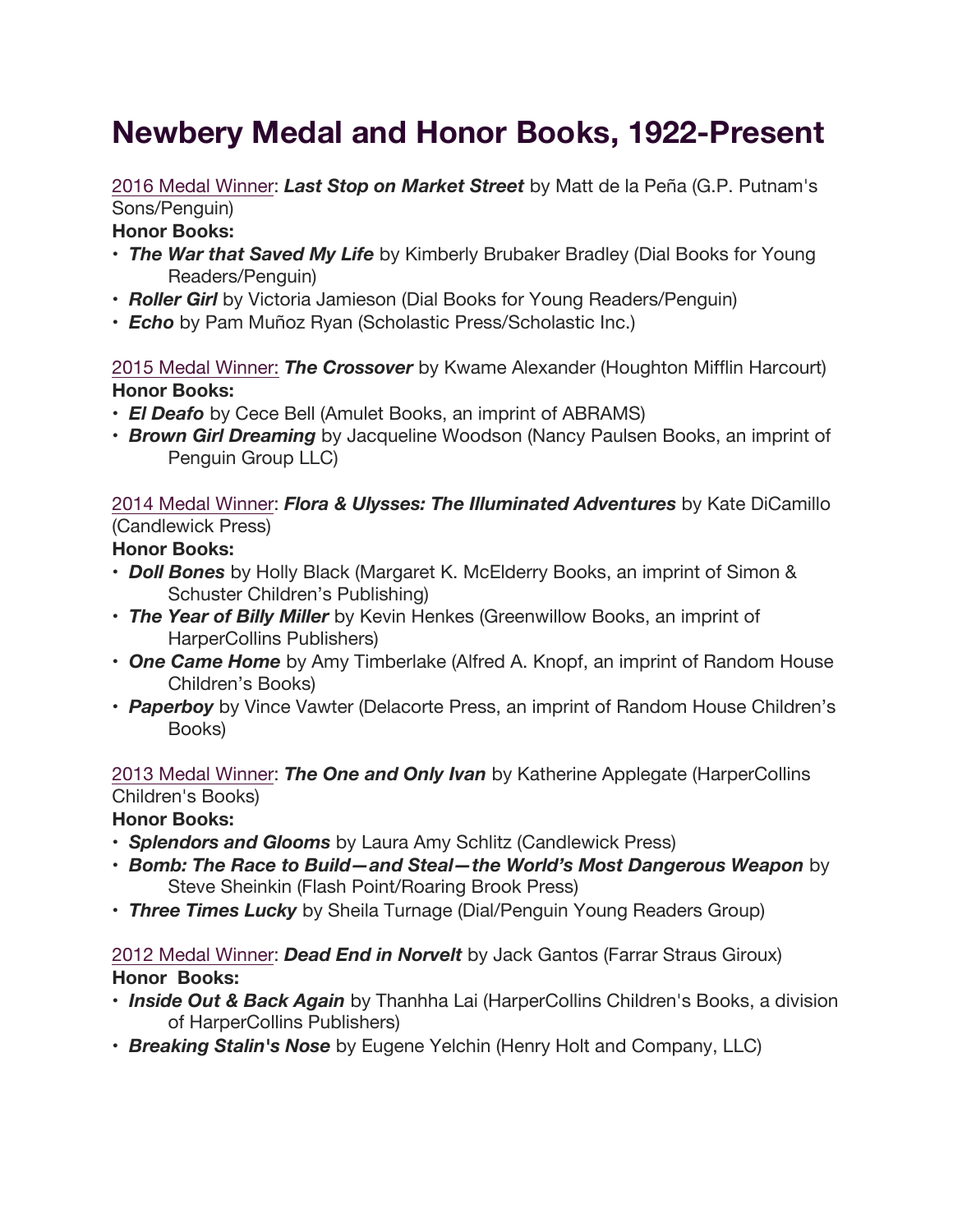### **Newbery Medal and Honor Books, 1922-Present**

2016 Medal Winner: *Last Stop on Market Street* by Matt de la Peña (G.P. Putnam's Sons/Penguin)

**Honor Books:**

- *The War that Saved My Life* by Kimberly Brubaker Bradley (Dial Books for Young Readers/Penguin)
- *Roller Girl* by Victoria Jamieson (Dial Books for Young Readers/Penguin)
- *Echo* by Pam Muñoz Ryan (Scholastic Press/Scholastic Inc.)

2015 Medal Winner: *The Crossover* by Kwame Alexander (Houghton Mifflin Harcourt) **Honor Books:**

- *El Deafo* by Cece Bell (Amulet Books, an imprint of ABRAMS)
- *Brown Girl Dreaming* by Jacqueline Woodson (Nancy Paulsen Books, an imprint of Penguin Group LLC)

#### 2014 Medal Winner: *Flora & Ulysses: The Illuminated Adventures* by Kate DiCamillo (Candlewick Press)

#### **Honor Books:**

- *Doll Bones* by Holly Black (Margaret K. McElderry Books, an imprint of Simon & Schuster Children's Publishing)
- *The Year of Billy Miller* by Kevin Henkes (Greenwillow Books, an imprint of HarperCollins Publishers)
- *One Came Home* by Amy Timberlake (Alfred A. Knopf, an imprint of Random House Children's Books)
- *Paperboy* by Vince Vawter (Delacorte Press, an imprint of Random House Children's Books)

2013 Medal Winner: *The One and Only Ivan* by Katherine Applegate (HarperCollins Children's Books)

**Honor Books:**

- *Splendors and Glooms* by Laura Amy Schlitz (Candlewick Press)
- *Bomb: The Race to Build—and Steal—the World's Most Dangerous Weapon* by Steve Sheinkin (Flash Point/Roaring Brook Press)
- *Three Times Lucky* by Sheila Turnage (Dial/Penguin Young Readers Group)

#### 2012 Medal Winner: *Dead End in Norvelt* by Jack Gantos (Farrar Straus Giroux) **Honor Books:**

- *Inside Out & Back Again* by Thanhha Lai (HarperCollins Children's Books, a division of HarperCollins Publishers)
- *Breaking Stalin's Nose* by Eugene Yelchin (Henry Holt and Company, LLC)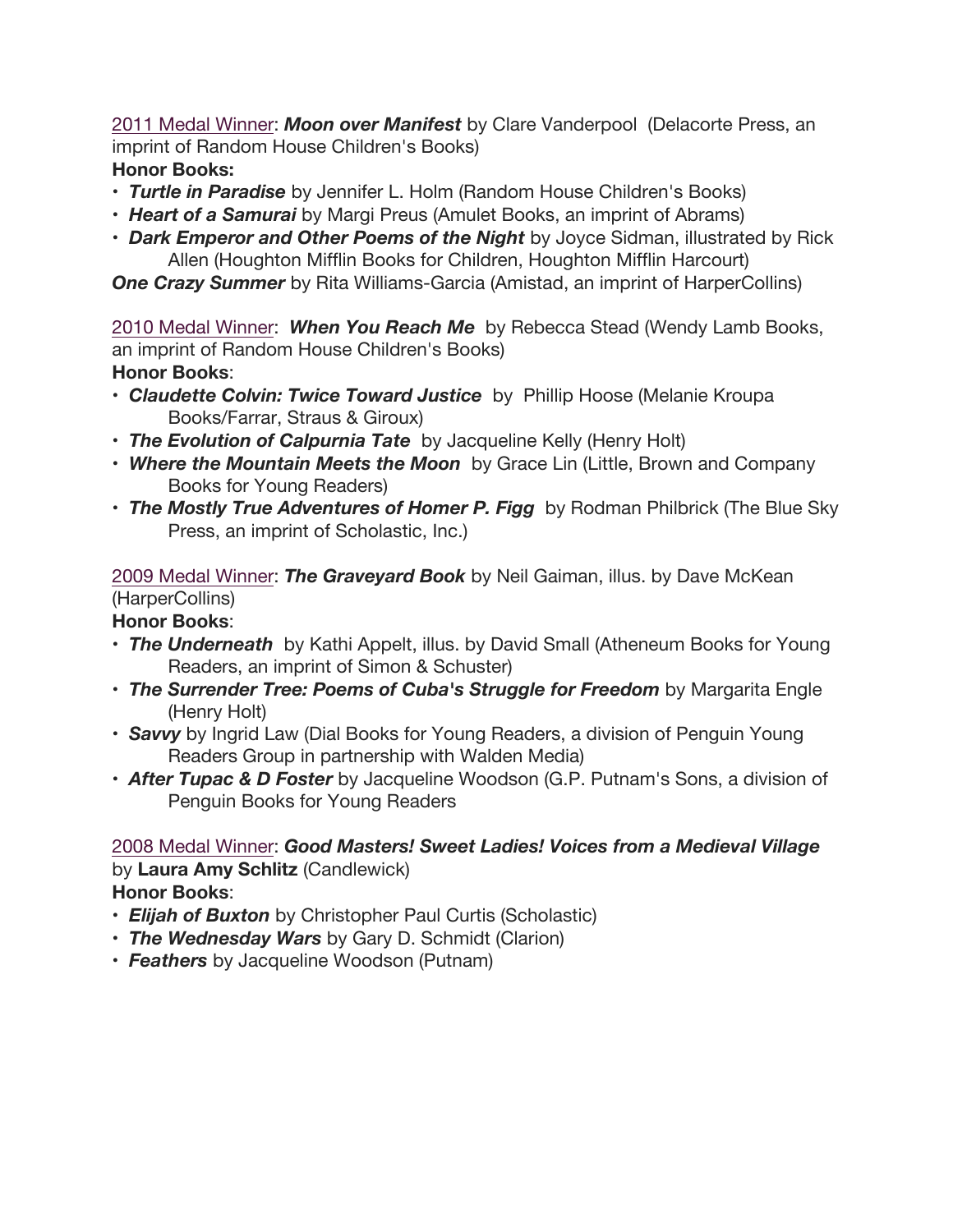2011 Medal Winner: *Moon over Manifest* by Clare Vanderpool (Delacorte Press, an imprint of Random House Children's Books)

#### **Honor Books:**

- *Turtle in Paradise* by Jennifer L. Holm (Random House Children's Books)
- *Heart of a Samurai* by Margi Preus (Amulet Books, an imprint of Abrams)
- *Dark Emperor and Other Poems of the Night* by Joyce Sidman, illustrated by Rick Allen (Houghton Mifflin Books for Children, Houghton Mifflin Harcourt)

**One Crazy Summer** by Rita Williams-Garcia (Amistad, an imprint of HarperCollins)

2010 Medal Winner: *When You Reach Me* by Rebecca Stead (Wendy Lamb Books, an imprint of Random House Children's Books) **Honor Books**:

- *Claudette Colvin: Twice Toward Justice* by Phillip Hoose (Melanie Kroupa Books/Farrar, Straus & Giroux)
- *The Evolution of Calpurnia Tate* by Jacqueline Kelly (Henry Holt)
- *Where the Mountain Meets the Moon* by Grace Lin (Little, Brown and Company Books for Young Readers)
- *The Mostly True Adventures of Homer P. Figg* by Rodman Philbrick (The Blue Sky Press, an imprint of Scholastic, Inc.)

2009 Medal Winner: *The Graveyard Book* by Neil Gaiman, illus. by Dave McKean (HarperCollins)

#### **Honor Books**:

- *The Underneath* by Kathi Appelt, illus. by David Small (Atheneum Books for Young Readers, an imprint of Simon & Schuster)
- *The Surrender Tree: Poems of Cuba's Struggle for Freedom* by Margarita Engle (Henry Holt)
- *Savvy* by Ingrid Law (Dial Books for Young Readers, a division of Penguin Young Readers Group in partnership with Walden Media)
- *After Tupac & D Foster* by Jacqueline Woodson (G.P. Putnam's Sons, a division of Penguin Books for Young Readers

#### 2008 Medal Winner: *Good Masters! Sweet Ladies! Voices from a Medieval Village* by **Laura Amy Schlitz** (Candlewick)

- *Elijah of Buxton* by Christopher Paul Curtis (Scholastic)
- *The Wednesday Wars* by Gary D. Schmidt (Clarion)
- *Feathers* by Jacqueline Woodson (Putnam)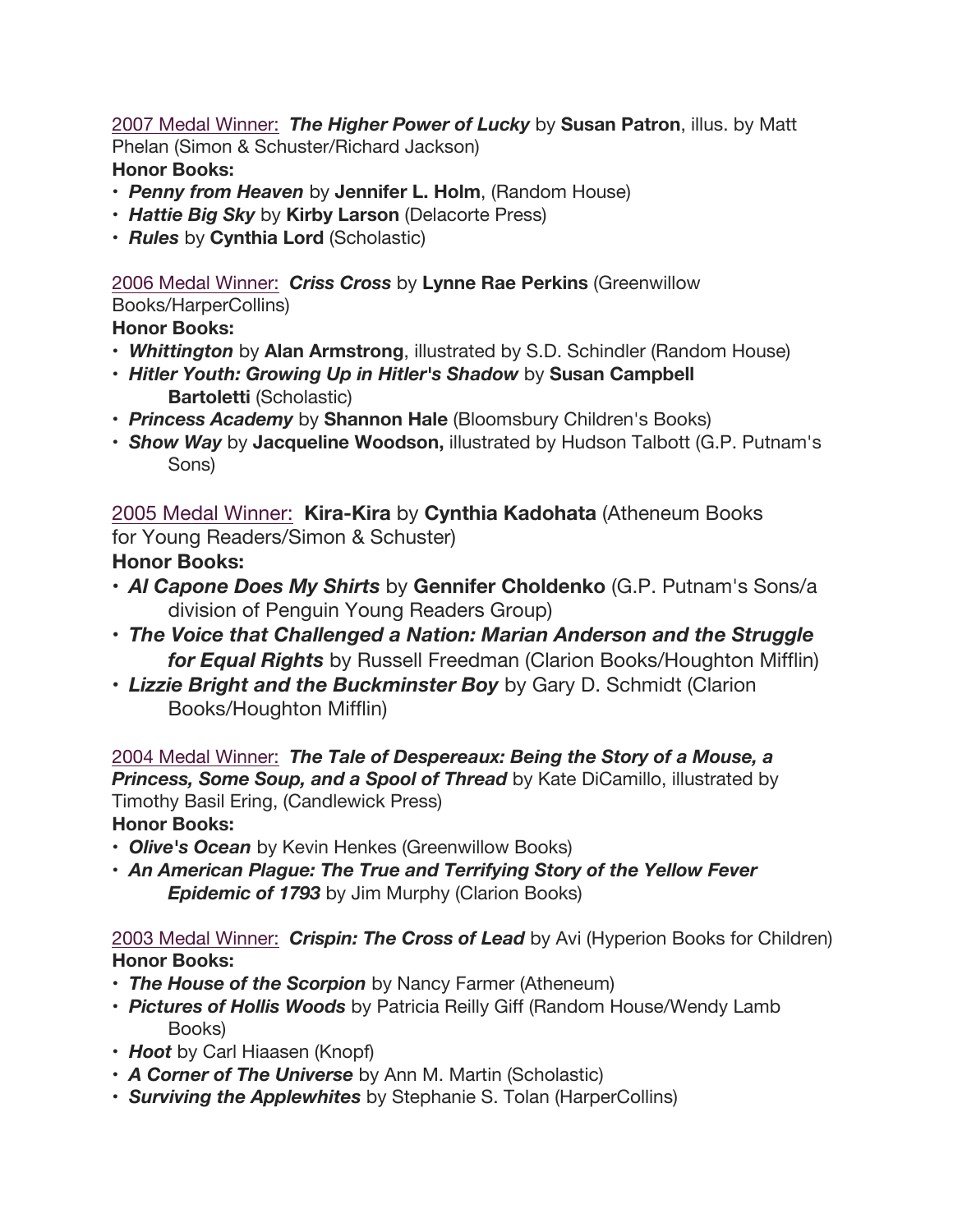2007 Medal Winner: *The Higher Power of Lucky* by **Susan Patron**, illus. by Matt Phelan (Simon & Schuster/Richard Jackson) **Honor Books:**

- *Penny from Heaven* by **Jennifer L. Holm**, (Random House)
- *Hattie Big Sky* by **Kirby Larson** (Delacorte Press)
- *Rules* by **Cynthia Lord** (Scholastic)

2006 Medal Winner: *Criss Cross* by **Lynne Rae Perkins** (Greenwillow

Books/HarperCollins)

**Honor Books:**

- *Whittington* by **Alan Armstrong**, illustrated by S.D. Schindler (Random House)
- *Hitler Youth: Growing Up in Hitler's Shadow* by **Susan Campbell Bartoletti** (Scholastic)
- *Princess Academy* by **Shannon Hale** (Bloomsbury Children's Books)
- *Show Way* by **Jacqueline Woodson,** illustrated by Hudson Talbott (G.P. Putnam's Sons)

2005 Medal Winner: **Kira-Kira** by **Cynthia Kadohata** (Atheneum Books for Young Readers/Simon & Schuster)

**Honor Books:**

- *Al Capone Does My Shirts* by **Gennifer Choldenko** (G.P. Putnam's Sons/a division of Penguin Young Readers Group)
- *The Voice that Challenged a Nation: Marian Anderson and the Struggle for Equal Rights* by Russell Freedman (Clarion Books/Houghton Mifflin)
- *Lizzie Bright and the Buckminster Boy* by Gary D. Schmidt (Clarion Books/Houghton Mifflin)

2004 Medal Winner: *The Tale of Despereaux: Being the Story of a Mouse, a*  **Princess, Some Soup, and a Spool of Thread** by Kate DiCamillo, illustrated by Timothy Basil Ering, (Candlewick Press) **Honor Books:**

- *Olive's Ocean* by Kevin Henkes (Greenwillow Books)
- *An American Plague: The True and Terrifying Story of the Yellow Fever Epidemic of 1793* by Jim Murphy (Clarion Books)

2003 Medal Winner: *Crispin: The Cross of Lead* by Avi (Hyperion Books for Children) **Honor Books:**

- *The House of the Scorpion* by Nancy Farmer (Atheneum)
- *Pictures of Hollis Woods* by Patricia Reilly Giff (Random House/Wendy Lamb Books)
- *Hoot* by Carl Hiaasen (Knopf)
- *A Corner of The Universe* by Ann M. Martin (Scholastic)
- *Surviving the Applewhites* by Stephanie S. Tolan (HarperCollins)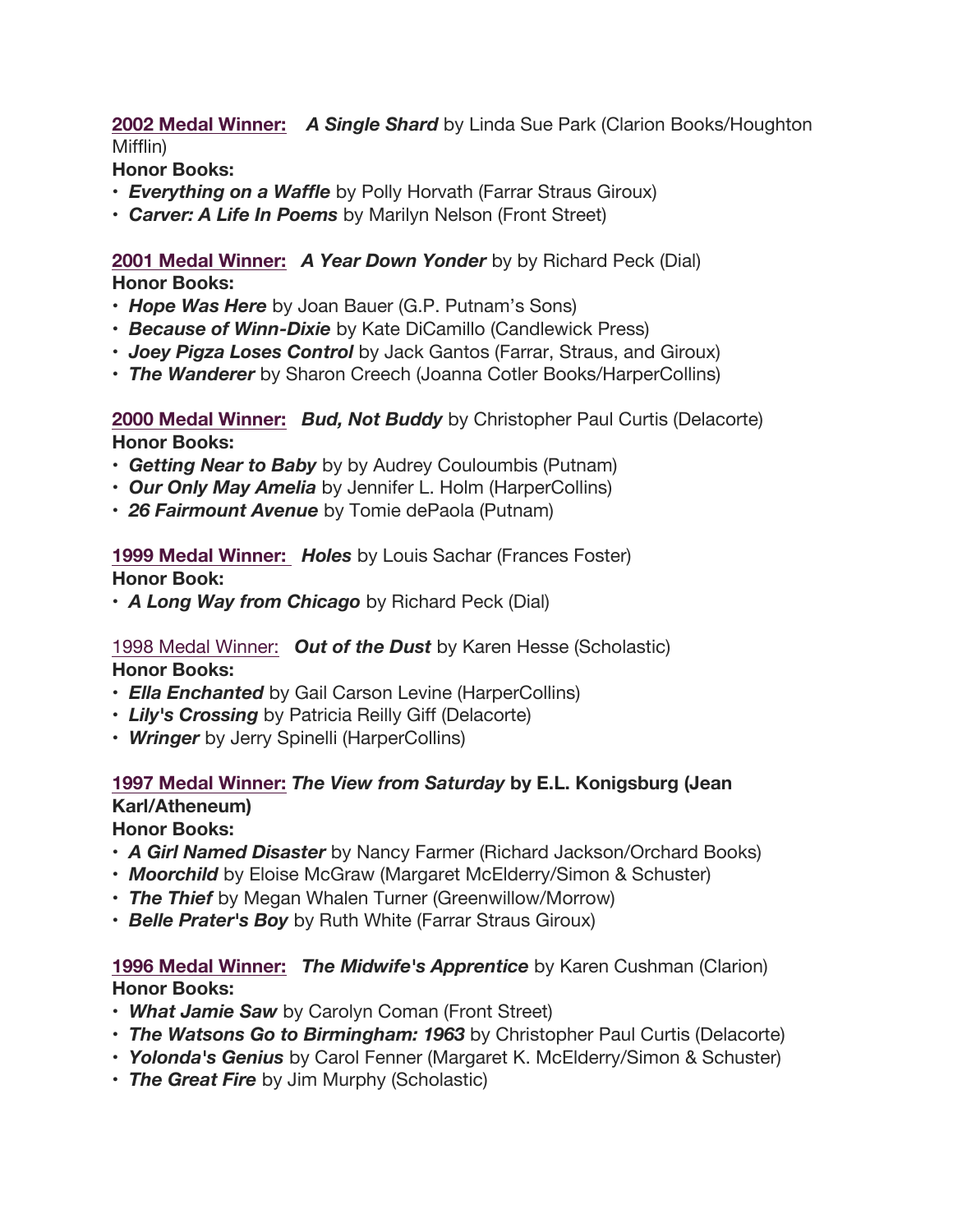**2002 Medal Winner:** *A Single Shard* by Linda Sue Park (Clarion Books/Houghton Mifflin)

#### **Honor Books:**

- *Everything on a Waffle* by Polly Horvath (Farrar Straus Giroux)
- *Carver: A Life In Poems* by Marilyn Nelson (Front Street)

**2001 Medal Winner:** *A Year Down Yonder* by by Richard Peck (Dial) **Honor Books:**

- *Hope Was Here* by Joan Bauer (G.P. Putnam's Sons)
- *Because of Winn-Dixie* by Kate DiCamillo (Candlewick Press)
- *Joey Pigza Loses Control* by Jack Gantos (Farrar, Straus, and Giroux)
- *The Wanderer* by Sharon Creech (Joanna Cotler Books/HarperCollins)

**2000 Medal Winner:** *Bud, Not Buddy* by Christopher Paul Curtis (Delacorte) **Honor Books:**

- *Getting Near to Baby* by by Audrey Couloumbis (Putnam)
- *Our Only May Amelia* by Jennifer L. Holm (HarperCollins)
- *26 Fairmount Avenue* by Tomie dePaola (Putnam)

**1999 Medal Winner:** *Holes* by Louis Sachar (Frances Foster) **Honor Book:**

• *A Long Way from Chicago* by Richard Peck (Dial)

#### 1998 Medal Winner: *Out of the Dust* by Karen Hesse (Scholastic) **Honor Books:**

- *Ella Enchanted* by Gail Carson Levine (HarperCollins)
- *Lily's Crossing* by Patricia Reilly Giff (Delacorte)
- *Wringer* by Jerry Spinelli (HarperCollins)

#### **1997 Medal Winner:** *The View from Saturday* **by E.L. Konigsburg (Jean Karl/Atheneum)**

**Honor Books:**

- *A Girl Named Disaster* by Nancy Farmer (Richard Jackson/Orchard Books)
- *Moorchild* by Eloise McGraw (Margaret McElderry/Simon & Schuster)
- *The Thief* by Megan Whalen Turner (Greenwillow/Morrow)
- *Belle Prater's Boy* by Ruth White (Farrar Straus Giroux)

#### **1996 Medal Winner:** *The Midwife's Apprentice* by Karen Cushman (Clarion) **Honor Books:**

- *What Jamie Saw* by Carolyn Coman (Front Street)
- *The Watsons Go to Birmingham: 1963* by Christopher Paul Curtis (Delacorte)
- *Yolonda's Genius* by Carol Fenner (Margaret K. McElderry/Simon & Schuster)
- *The Great Fire* by Jim Murphy (Scholastic)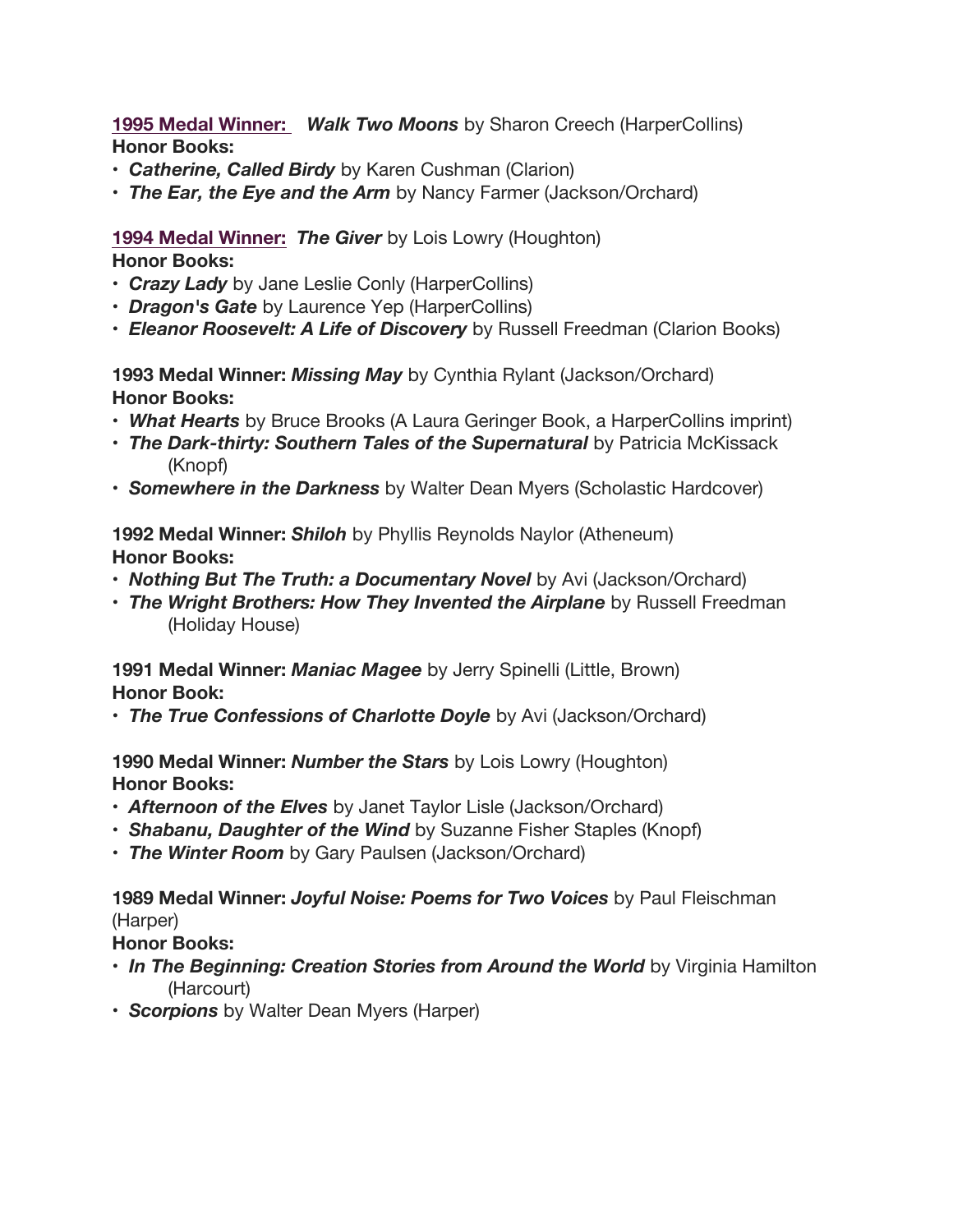**1995 Medal Winner:** *Walk Two Moons* by Sharon Creech (HarperCollins) **Honor Books:**

- *Catherine, Called Birdy* by Karen Cushman (Clarion)
- *The Ear, the Eye and the Arm* by Nancy Farmer (Jackson/Orchard)

**1994 Medal Winner:** *The Giver* by Lois Lowry (Houghton) **Honor Books:**

- *Crazy Lady* by Jane Leslie Conly (HarperCollins)
- *Dragon's Gate* by Laurence Yep (HarperCollins)
- *Eleanor Roosevelt: A Life of Discovery* by Russell Freedman (Clarion Books)

**1993 Medal Winner:** *Missing May* by Cynthia Rylant (Jackson/Orchard) **Honor Books:**

- *What Hearts* by Bruce Brooks (A Laura Geringer Book, a HarperCollins imprint)
- *The Dark-thirty: Southern Tales of the Supernatural* by Patricia McKissack (Knopf)
- *Somewhere in the Darkness* by Walter Dean Myers (Scholastic Hardcover)

**1992 Medal Winner:** *Shiloh* by Phyllis Reynolds Naylor (Atheneum) **Honor Books:**

- *Nothing But The Truth: a Documentary Novel* by Avi (Jackson/Orchard)
- *The Wright Brothers: How They Invented the Airplane* by Russell Freedman (Holiday House)

**1991 Medal Winner:** *Maniac Magee* by Jerry Spinelli (Little, Brown) **Honor Book:**

• *The True Confessions of Charlotte Doyle* by Avi (Jackson/Orchard)

**1990 Medal Winner:** *Number the Stars* by Lois Lowry (Houghton) **Honor Books:**

- *Afternoon of the Elves* by Janet Taylor Lisle (Jackson/Orchard)
- *Shabanu, Daughter of the Wind* by Suzanne Fisher Staples (Knopf)
- *The Winter Room* by Gary Paulsen (Jackson/Orchard)

#### **1989 Medal Winner:** *Joyful Noise: Poems for Two Voices* by Paul Fleischman (Harper)

- *In The Beginning: Creation Stories from Around the World* by Virginia Hamilton (Harcourt)
- *Scorpions* by Walter Dean Myers (Harper)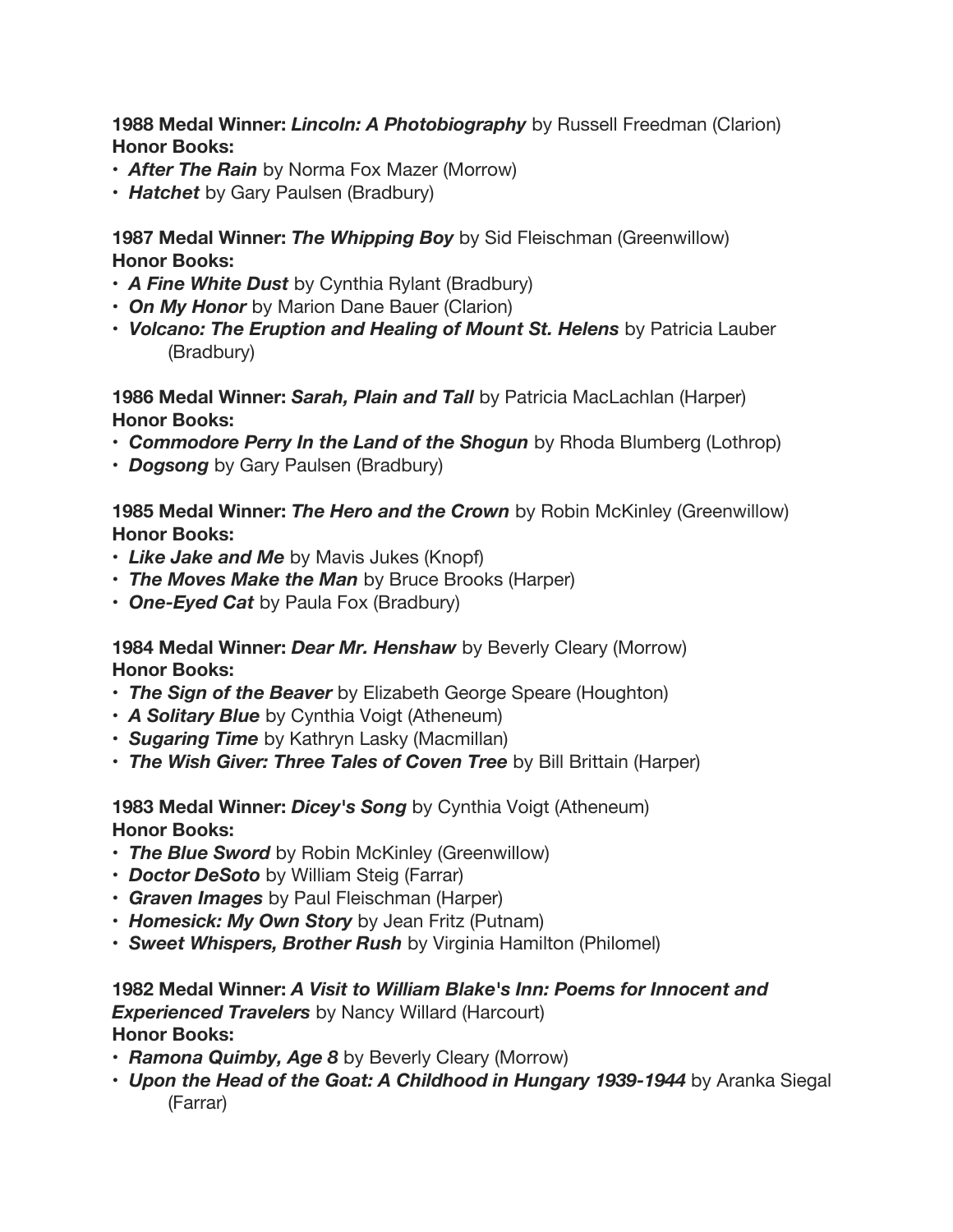**1988 Medal Winner:** *Lincoln: A Photobiography* by Russell Freedman (Clarion) **Honor Books:**

- *After The Rain* by Norma Fox Mazer (Morrow)
- *Hatchet* by Gary Paulsen (Bradbury)

**1987 Medal Winner:** *The Whipping Boy* by Sid Fleischman (Greenwillow) **Honor Books:**

- *A Fine White Dust* by Cynthia Rylant (Bradbury)
- *On My Honor* by Marion Dane Bauer (Clarion)
- *Volcano: The Eruption and Healing of Mount St. Helens* by Patricia Lauber (Bradbury)

**1986 Medal Winner:** *Sarah, Plain and Tall* by Patricia MacLachlan (Harper) **Honor Books:**

- *Commodore Perry In the Land of the Shogun* by Rhoda Blumberg (Lothrop)
- *Dogsong* by Gary Paulsen (Bradbury)

**1985 Medal Winner:** *The Hero and the Crown* by Robin McKinley (Greenwillow) **Honor Books:**

- *Like Jake and Me* by Mavis Jukes (Knopf)
- *The Moves Make the Man* by Bruce Brooks (Harper)
- *One-Eyed Cat* by Paula Fox (Bradbury)

**1984 Medal Winner:** *Dear Mr. Henshaw* by Beverly Cleary (Morrow) **Honor Books:**

- *The Sign of the Beaver* by Elizabeth George Speare (Houghton)
- *A Solitary Blue* by Cynthia Voigt (Atheneum)
- *Sugaring Time* by Kathryn Lasky (Macmillan)
- *The Wish Giver: Three Tales of Coven Tree* by Bill Brittain (Harper)

**1983 Medal Winner:** *Dicey's Song* by Cynthia Voigt (Atheneum) **Honor Books:**

- *The Blue Sword* by Robin McKinley (Greenwillow)
- *Doctor DeSoto* by William Steig (Farrar)
- *Graven Images* by Paul Fleischman (Harper)
- *Homesick: My Own Story* by Jean Fritz (Putnam)
- *Sweet Whispers, Brother Rush* by Virginia Hamilton (Philomel)

#### **1982 Medal Winner:** *A Visit to William Blake's Inn: Poems for Innocent and*  **Experienced Travelers** by Nancy Willard (Harcourt) **Honor Books:**

- *Ramona Quimby, Age 8* by Beverly Cleary (Morrow)
- *Upon the Head of the Goat: A Childhood in Hungary 1939-1944* by Aranka Siegal (Farrar)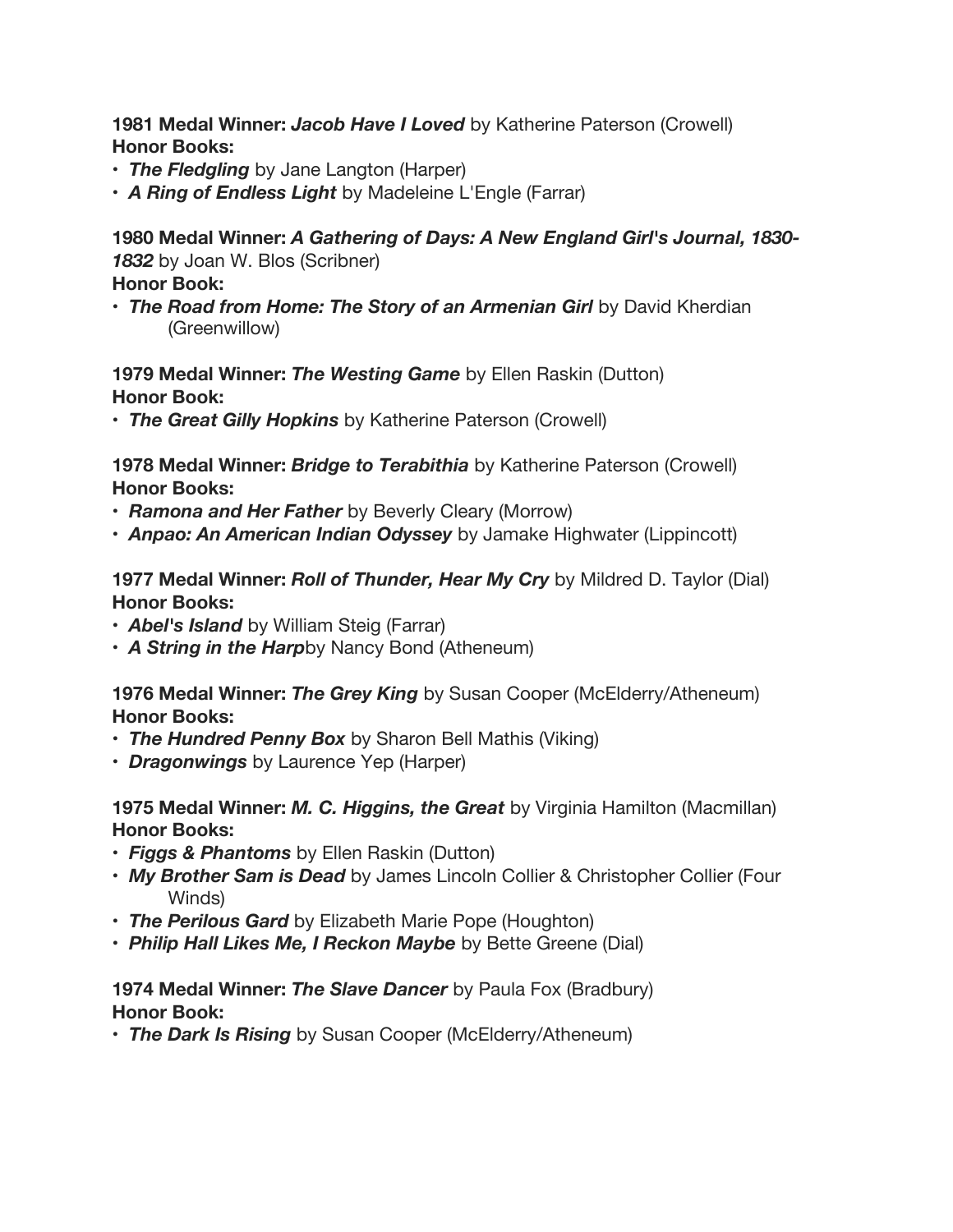**1981 Medal Winner:** *Jacob Have I Loved* by Katherine Paterson (Crowell) **Honor Books:**

- *The Fledgling* by Jane Langton (Harper)
- *A Ring of Endless Light* by Madeleine L'Engle (Farrar)

**1980 Medal Winner:** *A Gathering of Days: A New England Girl's Journal, 1830- 1832* by Joan W. Blos (Scribner)

**Honor Book:**

• *The Road from Home: The Story of an Armenian Girl* by David Kherdian (Greenwillow)

**1979 Medal Winner:** *The Westing Game* by Ellen Raskin (Dutton) **Honor Book:**

• *The Great Gilly Hopkins* by Katherine Paterson (Crowell)

**1978 Medal Winner:** *Bridge to Terabithia* by Katherine Paterson (Crowell) **Honor Books:**

- *Ramona and Her Father* by Beverly Cleary (Morrow)
- *Anpao: An American Indian Odyssey* by Jamake Highwater (Lippincott)

**1977 Medal Winner:** *Roll of Thunder, Hear My Cry* by Mildred D. Taylor (Dial) **Honor Books:**

- *Abel's Island* by William Steig (Farrar)
- *A String in the Harp*by Nancy Bond (Atheneum)

**1976 Medal Winner:** *The Grey King* by Susan Cooper (McElderry/Atheneum) **Honor Books:**

- *The Hundred Penny Box* by Sharon Bell Mathis (Viking)
- *Dragonwings* by Laurence Yep (Harper)

**1975 Medal Winner:** *M. C. Higgins, the Great* by Virginia Hamilton (Macmillan) **Honor Books:**

- *Figgs & Phantoms* by Ellen Raskin (Dutton)
- *My Brother Sam is Dead* by James Lincoln Collier & Christopher Collier (Four Winds)
- *The Perilous Gard* by Elizabeth Marie Pope (Houghton)
- *Philip Hall Likes Me, I Reckon Maybe* by Bette Greene (Dial)

#### **1974 Medal Winner:** *The Slave Dancer* by Paula Fox (Bradbury) **Honor Book:**

• *The Dark Is Rising* by Susan Cooper (McElderry/Atheneum)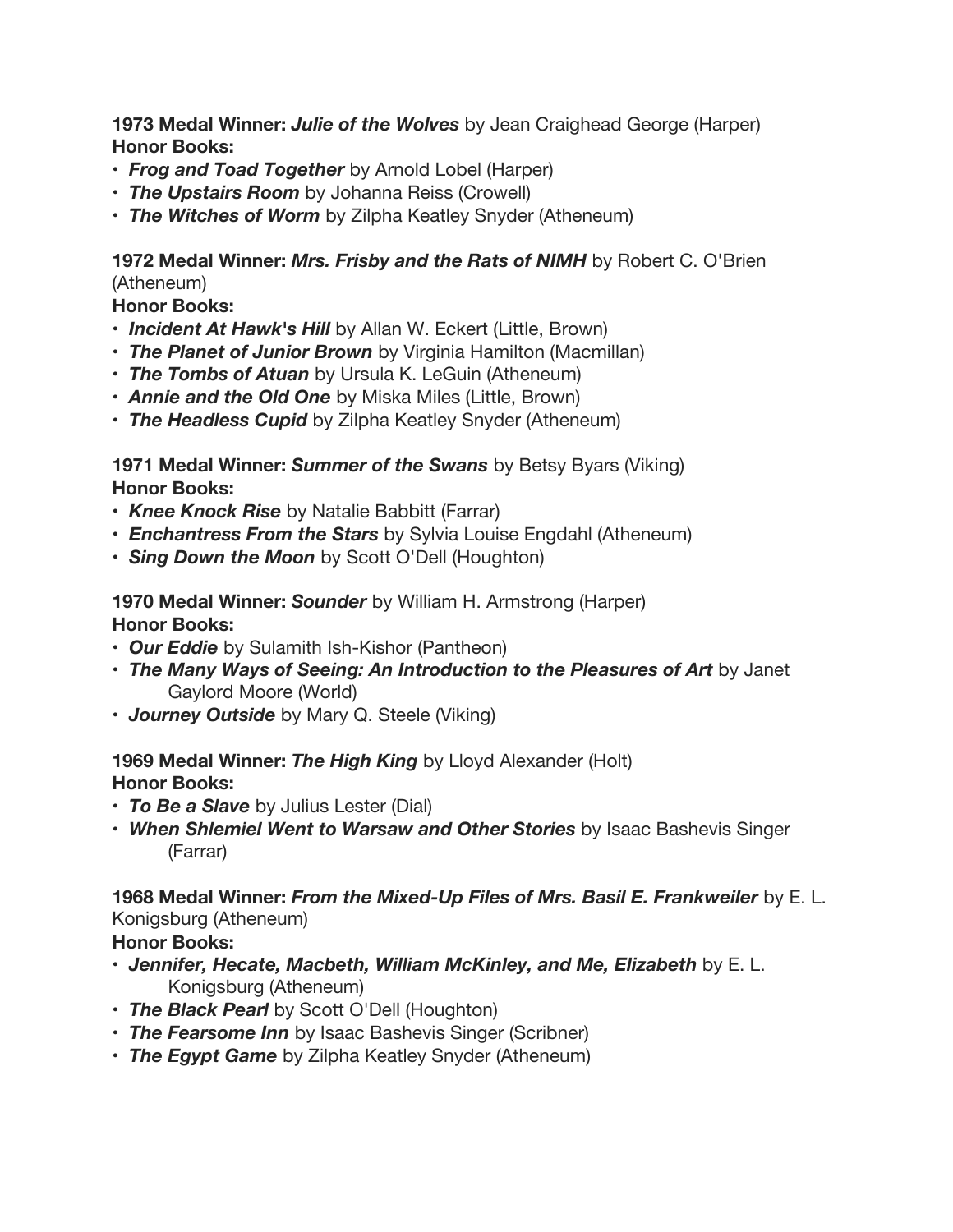**1973 Medal Winner:** *Julie of the Wolves* by Jean Craighead George (Harper) **Honor Books:**

- *Frog and Toad Together* by Arnold Lobel (Harper)
- *The Upstairs Room* by Johanna Reiss (Crowell)
- *The Witches of Worm* by Zilpha Keatley Snyder (Atheneum)

#### **1972 Medal Winner:** *Mrs. Frisby and the Rats of NIMH* by Robert C. O'Brien (Atheneum)

**Honor Books:**

- *Incident At Hawk's Hill* by Allan W. Eckert (Little, Brown)
- *The Planet of Junior Brown* by Virginia Hamilton (Macmillan)
- *The Tombs of Atuan* by Ursula K. LeGuin (Atheneum)
- *Annie and the Old One* by Miska Miles (Little, Brown)
- *The Headless Cupid* by Zilpha Keatley Snyder (Atheneum)

#### **1971 Medal Winner:** *Summer of the Swans* by Betsy Byars (Viking) **Honor Books:**

- *Knee Knock Rise* by Natalie Babbitt (Farrar)
- *Enchantress From the Stars* by Sylvia Louise Engdahl (Atheneum)
- *Sing Down the Moon* by Scott O'Dell (Houghton)

#### **1970 Medal Winner:** *Sounder* by William H. Armstrong (Harper) **Honor Books:**

- *Our Eddie* by Sulamith Ish-Kishor (Pantheon)
- *The Many Ways of Seeing: An Introduction to the Pleasures of Art* by Janet Gaylord Moore (World)
- *Journey Outside* by Mary Q. Steele (Viking)

#### **1969 Medal Winner:** *The High King* by Lloyd Alexander (Holt) **Honor Books:**

- *To Be a Slave* by Julius Lester (Dial)
- *When Shlemiel Went to Warsaw and Other Stories* by Isaac Bashevis Singer (Farrar)

#### **1968 Medal Winner:** *From the Mixed-Up Files of Mrs. Basil E. Frankweiler* by E. L. Konigsburg (Atheneum)

- *Jennifer, Hecate, Macbeth, William McKinley, and Me, Elizabeth* by E. L. Konigsburg (Atheneum)
- *The Black Pearl* by Scott O'Dell (Houghton)
- *The Fearsome Inn* by Isaac Bashevis Singer (Scribner)
- *The Egypt Game* by Zilpha Keatley Snyder (Atheneum)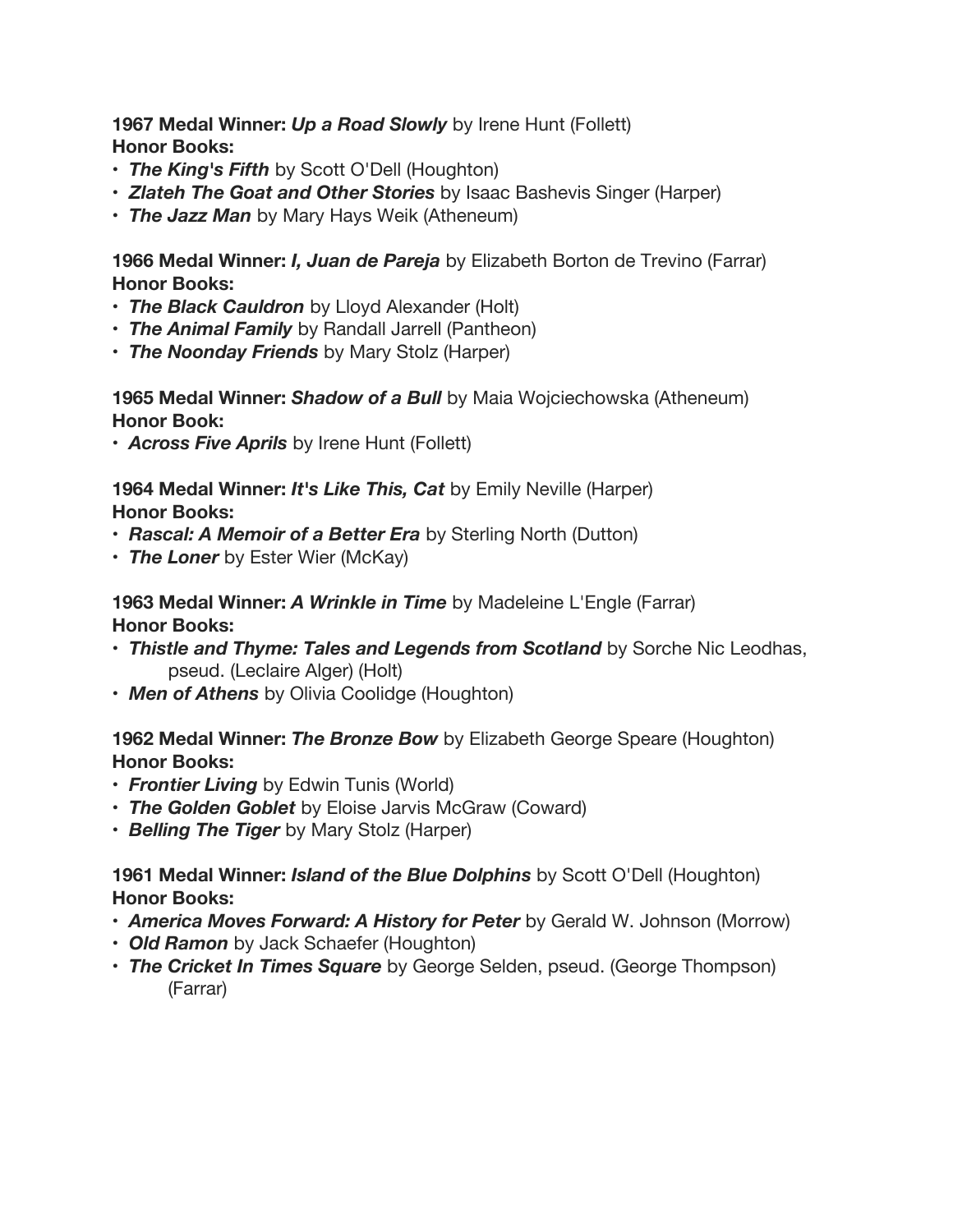**1967 Medal Winner:** *Up a Road Slowly* by Irene Hunt (Follett) **Honor Books:**

- *The King's Fifth* by Scott O'Dell (Houghton)
- *Zlateh The Goat and Other Stories* by Isaac Bashevis Singer (Harper)
- *The Jazz Man* by Mary Hays Weik (Atheneum)

#### **1966 Medal Winner:** *I, Juan de Pareja* by Elizabeth Borton de Trevino (Farrar) **Honor Books:**

- *The Black Cauldron* by Lloyd Alexander (Holt)
- *The Animal Family* by Randall Jarrell (Pantheon)
- *The Noonday Friends* by Mary Stolz (Harper)

#### **1965 Medal Winner:** *Shadow of a Bull* by Maia Wojciechowska (Atheneum) **Honor Book:**

• *Across Five Aprils* by Irene Hunt (Follett)

#### **1964 Medal Winner:** *It's Like This, Cat* by Emily Neville (Harper) **Honor Books:**

- *Rascal: A Memoir of a Better Era* by Sterling North (Dutton)
- *The Loner* by Ester Wier (McKay)

#### **1963 Medal Winner:** *A Wrinkle in Time* by Madeleine L'Engle (Farrar) **Honor Books:**

- *Thistle and Thyme: Tales and Legends from Scotland* by Sorche Nic Leodhas, pseud. (Leclaire Alger) (Holt)
- *Men of Athens* by Olivia Coolidge (Houghton)

#### **1962 Medal Winner:** *The Bronze Bow* by Elizabeth George Speare (Houghton) **Honor Books:**

- *Frontier Living* by Edwin Tunis (World)
- **The Golden Goblet** by Eloise Jarvis McGraw (Coward)
- *Belling The Tiger* by Mary Stolz (Harper)

#### **1961 Medal Winner:** *Island of the Blue Dolphins* by Scott O'Dell (Houghton) **Honor Books:**

- *America Moves Forward: A History for Peter* by Gerald W. Johnson (Morrow)
- *Old Ramon* by Jack Schaefer (Houghton)
- *The Cricket In Times Square* by George Selden, pseud. (George Thompson) (Farrar)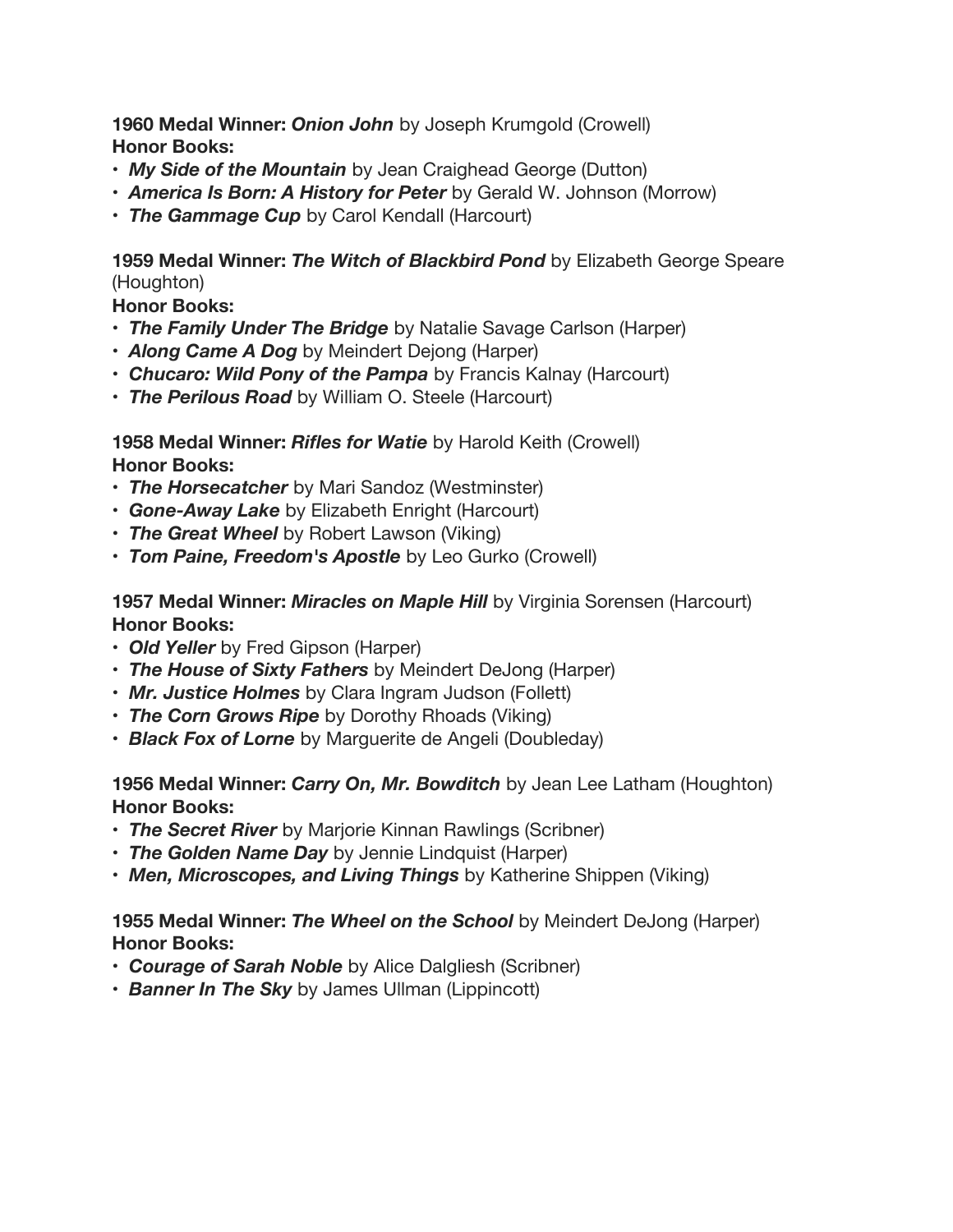**1960 Medal Winner:** *Onion John* by Joseph Krumgold (Crowell) **Honor Books:**

- *My Side of the Mountain* by Jean Craighead George (Dutton)
- *America Is Born: A History for Peter* by Gerald W. Johnson (Morrow)
- *The Gammage Cup* by Carol Kendall (Harcourt)

#### **1959 Medal Winner:** *The Witch of Blackbird Pond* by Elizabeth George Speare (Houghton)

**Honor Books:**

- *The Family Under The Bridge* by Natalie Savage Carlson (Harper)
- *Along Came A Dog* by Meindert Dejong (Harper)
- *Chucaro: Wild Pony of the Pampa* by Francis Kalnay (Harcourt)
- *The Perilous Road* by William O. Steele (Harcourt)

**1958 Medal Winner:** *Rifles for Watie* by Harold Keith (Crowell) **Honor Books:**

- *The Horsecatcher* by Mari Sandoz (Westminster)
- *Gone-Away Lake* by Elizabeth Enright (Harcourt)
- *The Great Wheel* by Robert Lawson (Viking)
- *Tom Paine, Freedom's Apostle* by Leo Gurko (Crowell)

#### **1957 Medal Winner:** *Miracles on Maple Hill* by Virginia Sorensen (Harcourt) **Honor Books:**

- *Old Yeller* by Fred Gipson (Harper)
- *The House of Sixty Fathers* by Meindert DeJong (Harper)
- *Mr. Justice Holmes* by Clara Ingram Judson (Follett)
- *The Corn Grows Ripe* by Dorothy Rhoads (Viking)
- *Black Fox of Lorne* by Marguerite de Angeli (Doubleday)

#### **1956 Medal Winner:** *Carry On, Mr. Bowditch* by Jean Lee Latham (Houghton) **Honor Books:**

- *The Secret River* by Marjorie Kinnan Rawlings (Scribner)
- *The Golden Name Day* by Jennie Lindquist (Harper)
- *Men, Microscopes, and Living Things* by Katherine Shippen (Viking)

#### **1955 Medal Winner:** *The Wheel on the School* by Meindert DeJong (Harper) **Honor Books:**

- *Courage of Sarah Noble* by Alice Dalgliesh (Scribner)
- *Banner In The Sky* by James Ullman (Lippincott)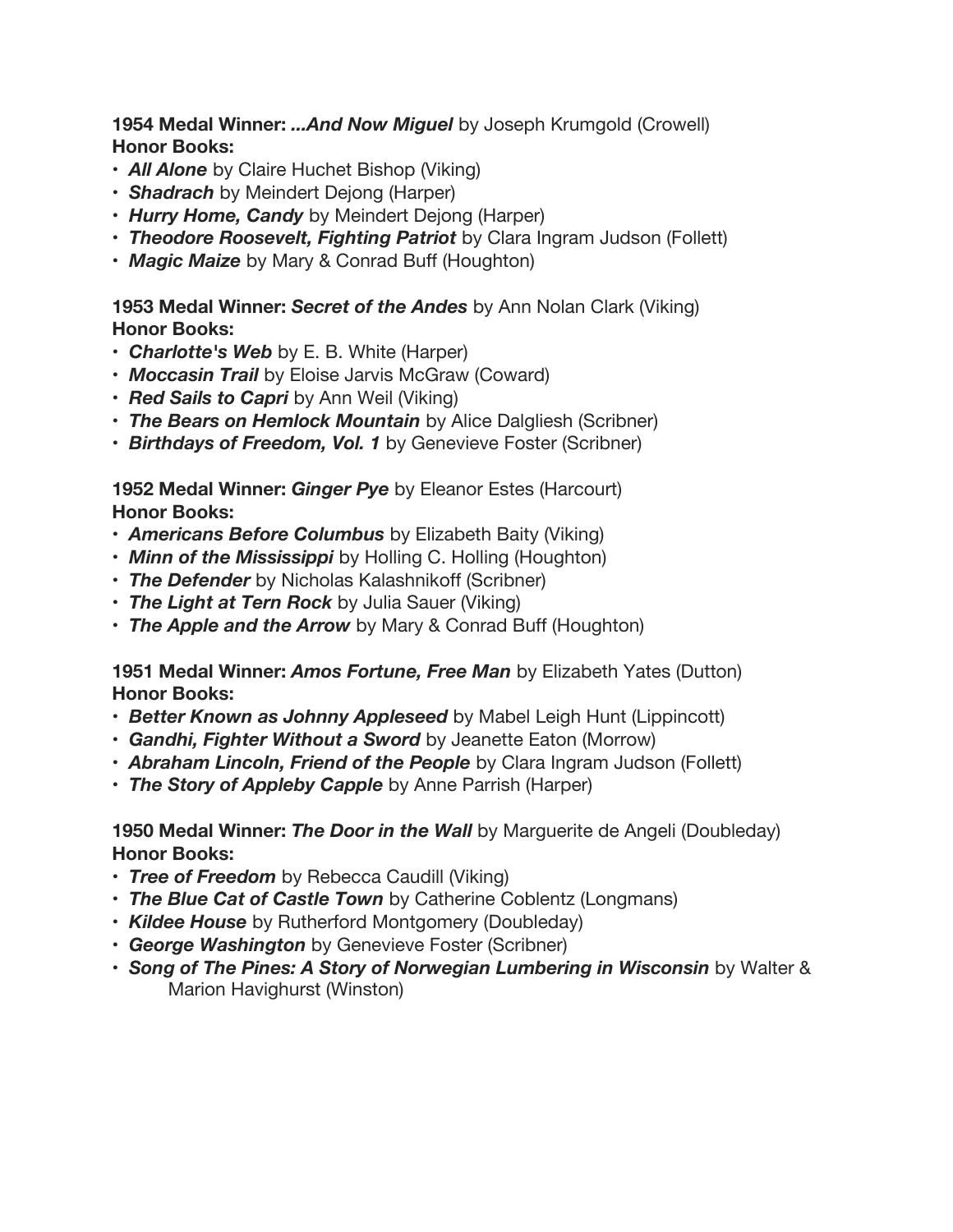**1954 Medal Winner:** *...And Now Miguel* by Joseph Krumgold (Crowell) **Honor Books:**

- *All Alone* by Claire Huchet Bishop (Viking)
- *Shadrach* by Meindert Dejong (Harper)
- *Hurry Home, Candy* by Meindert Dejong (Harper)
- *Theodore Roosevelt, Fighting Patriot* by Clara Ingram Judson (Follett)
- *Magic Maize* by Mary & Conrad Buff (Houghton)

**1953 Medal Winner:** *Secret of the Andes* by Ann Nolan Clark (Viking) **Honor Books:**

- *Charlotte's Web* by E. B. White (Harper)
- **Moccasin Trail** by Eloise Jarvis McGraw (Coward)
- *Red Sails to Capri* by Ann Weil (Viking)
- *The Bears on Hemlock Mountain* by Alice Dalgliesh (Scribner)
- *Birthdays of Freedom, Vol. 1* by Genevieve Foster (Scribner)

**1952 Medal Winner:** *Ginger Pye* by Eleanor Estes (Harcourt) **Honor Books:**

- *Americans Before Columbus* by Elizabeth Baity (Viking)
- *Minn of the Mississippi* by Holling C. Holling (Houghton)
- *The Defender* by Nicholas Kalashnikoff (Scribner)
- *The Light at Tern Rock* by Julia Sauer (Viking)
- *The Apple and the Arrow* by Mary & Conrad Buff (Houghton)

**1951 Medal Winner:** *Amos Fortune, Free Man* by Elizabeth Yates (Dutton) **Honor Books:**

- *Better Known as Johnny Appleseed* by Mabel Leigh Hunt (Lippincott)
- *Gandhi, Fighter Without a Sword* by Jeanette Eaton (Morrow)
- *Abraham Lincoln, Friend of the People* by Clara Ingram Judson (Follett)
- *The Story of Appleby Capple* by Anne Parrish (Harper)

#### **1950 Medal Winner:** *The Door in the Wall* by Marguerite de Angeli (Doubleday) **Honor Books:**

- *Tree of Freedom* by Rebecca Caudill (Viking)
- *The Blue Cat of Castle Town* by Catherine Coblentz (Longmans)
- *Kildee House* by Rutherford Montgomery (Doubleday)
- *George Washington* by Genevieve Foster (Scribner)
- *Song of The Pines: A Story of Norwegian Lumbering in Wisconsin* by Walter & Marion Havighurst (Winston)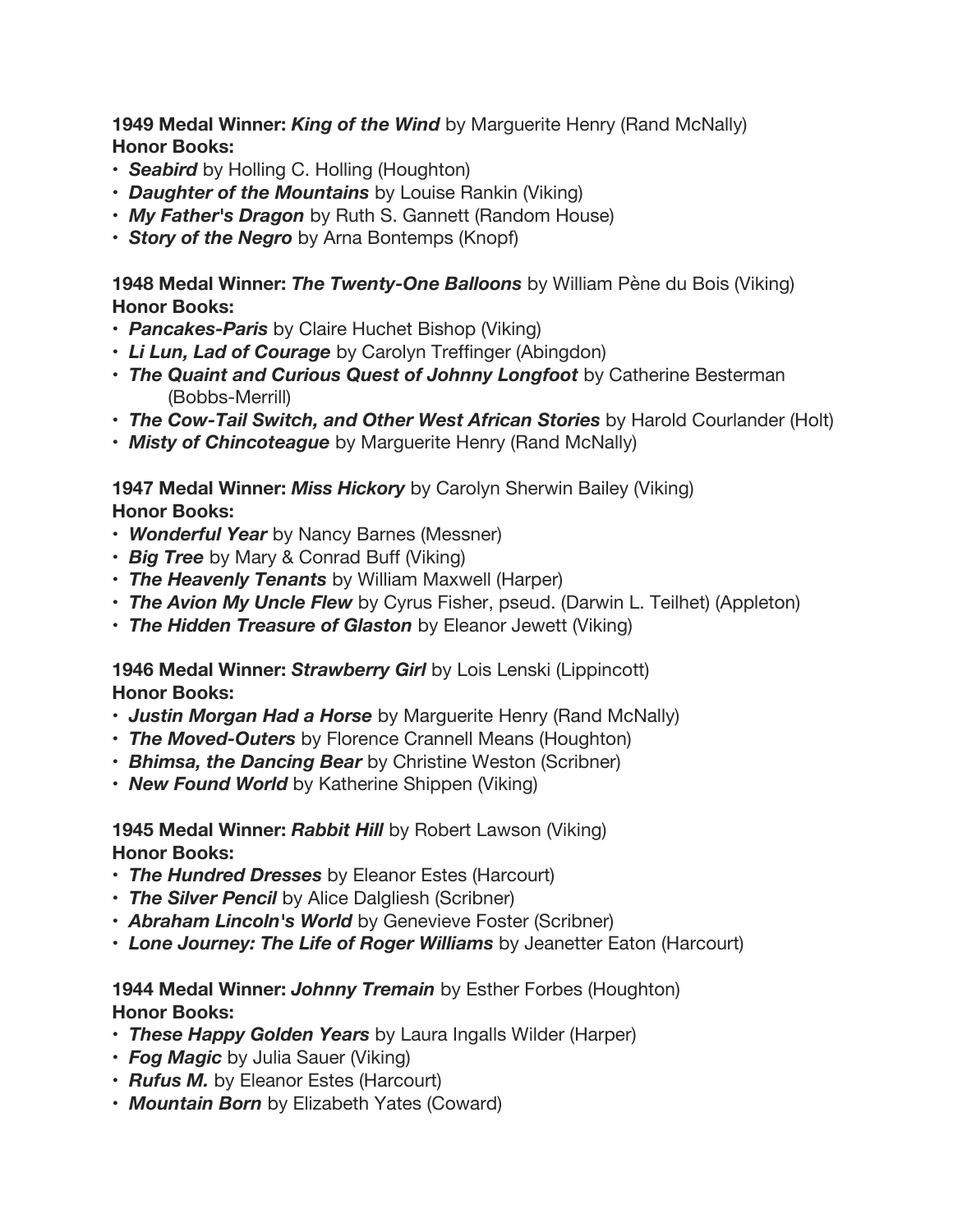**1949 Medal Winner:** *King of the Wind* by Marguerite Henry (Rand McNally) **Honor Books:**

- *Seabird* by Holling C. Holling (Houghton)
- *Daughter of the Mountains* by Louise Rankin (Viking)
- *My Father's Dragon* by Ruth S. Gannett (Random House)
- *Story of the Negro* by Arna Bontemps (Knopf)

#### **1948 Medal Winner:** *The Twenty-One Balloons* by William Pène du Bois (Viking) **Honor Books:**

- *Pancakes-Paris* by Claire Huchet Bishop (Viking)
- *Li Lun, Lad of Courage* by Carolyn Treffinger (Abingdon)
- *The Quaint and Curious Quest of Johnny Longfoot* by Catherine Besterman (Bobbs-Merrill)
- *The Cow-Tail Switch, and Other West African Stories* by Harold Courlander (Holt)
- *Misty of Chincoteague* by Marguerite Henry (Rand McNally)

**1947 Medal Winner:** *Miss Hickory* by Carolyn Sherwin Bailey (Viking) **Honor Books:**

- *Wonderful Year* by Nancy Barnes (Messner)
- *Big Tree* by Mary & Conrad Buff (Viking)
- *The Heavenly Tenants* by William Maxwell (Harper)
- *The Avion My Uncle Flew* by Cyrus Fisher, pseud. (Darwin L. Teilhet) (Appleton)
- *The Hidden Treasure of Glaston* by Eleanor Jewett (Viking)

**1946 Medal Winner:** *Strawberry Girl* by Lois Lenski (Lippincott) **Honor Books:**

- *Justin Morgan Had a Horse* by Marguerite Henry (Rand McNally)
- *The Moved-Outers* by Florence Crannell Means (Houghton)
- *Bhimsa, the Dancing Bear* by Christine Weston (Scribner)
- *New Found World* by Katherine Shippen (Viking)

**1945 Medal Winner:** *Rabbit Hill* by Robert Lawson (Viking) **Honor Books:**

- *The Hundred Dresses* by Eleanor Estes (Harcourt)
- *The Silver Pencil* by Alice Dalgliesh (Scribner)
- *Abraham Lincoln's World* by Genevieve Foster (Scribner)
- *Lone Journey: The Life of Roger Williams* by Jeanetter Eaton (Harcourt)

#### **1944 Medal Winner:** *Johnny Tremain* by Esther Forbes (Houghton) **Honor Books:**

- *These Happy Golden Years* by Laura Ingalls Wilder (Harper)
- *Fog Magic* by Julia Sauer (Viking)
- *Rufus M.* by Eleanor Estes (Harcourt)
- *Mountain Born* by Elizabeth Yates (Coward)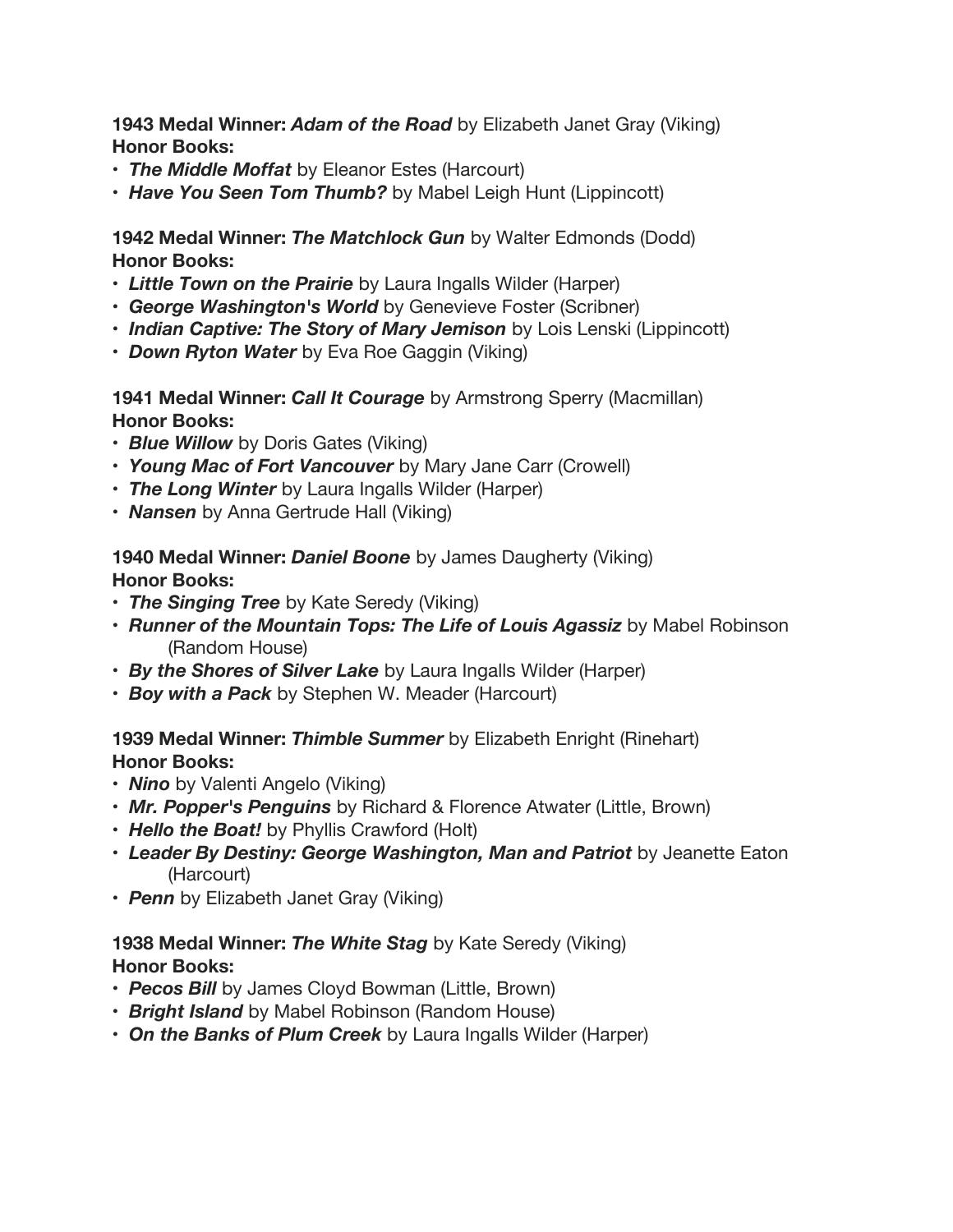**1943 Medal Winner:** *Adam of the Road* by Elizabeth Janet Gray (Viking) **Honor Books:**

- *The Middle Moffat* by Eleanor Estes (Harcourt)
- *Have You Seen Tom Thumb?* by Mabel Leigh Hunt (Lippincott)

**1942 Medal Winner:** *The Matchlock Gun* by Walter Edmonds (Dodd) **Honor Books:**

- *Little Town on the Prairie* by Laura Ingalls Wilder (Harper)
- *George Washington's World* by Genevieve Foster (Scribner)
- *Indian Captive: The Story of Mary Jemison* by Lois Lenski (Lippincott)
- *Down Ryton Water* by Eva Roe Gaggin (Viking)

**1941 Medal Winner:** *Call It Courage* by Armstrong Sperry (Macmillan) **Honor Books:**

- *Blue Willow* by Doris Gates (Viking)
- *Young Mac of Fort Vancouver* by Mary Jane Carr (Crowell)
- *The Long Winter* by Laura Ingalls Wilder (Harper)
- *Nansen* by Anna Gertrude Hall (Viking)

**1940 Medal Winner:** *Daniel Boone* by James Daugherty (Viking) **Honor Books:**

- *The Singing Tree* by Kate Seredy (Viking)
- *Runner of the Mountain Tops: The Life of Louis Agassiz* by Mabel Robinson (Random House)
- *By the Shores of Silver Lake* by Laura Ingalls Wilder (Harper)
- *Boy with a Pack* by Stephen W. Meader (Harcourt)

**1939 Medal Winner:** *Thimble Summer* by Elizabeth Enright (Rinehart) **Honor Books:**

- *Nino* by Valenti Angelo (Viking)
- *Mr. Popper's Penguins* by Richard & Florence Atwater (Little, Brown)
- *Hello the Boat!* by Phyllis Crawford (Holt)
- *Leader By Destiny: George Washington, Man and Patriot* by Jeanette Eaton (Harcourt)
- *Penn* by Elizabeth Janet Gray (Viking)

#### **1938 Medal Winner:** *The White Stag* by Kate Seredy (Viking) **Honor Books:**

- *Pecos Bill* by James Cloyd Bowman (Little, Brown)
- *Bright Island* by Mabel Robinson (Random House)
- *On the Banks of Plum Creek* by Laura Ingalls Wilder (Harper)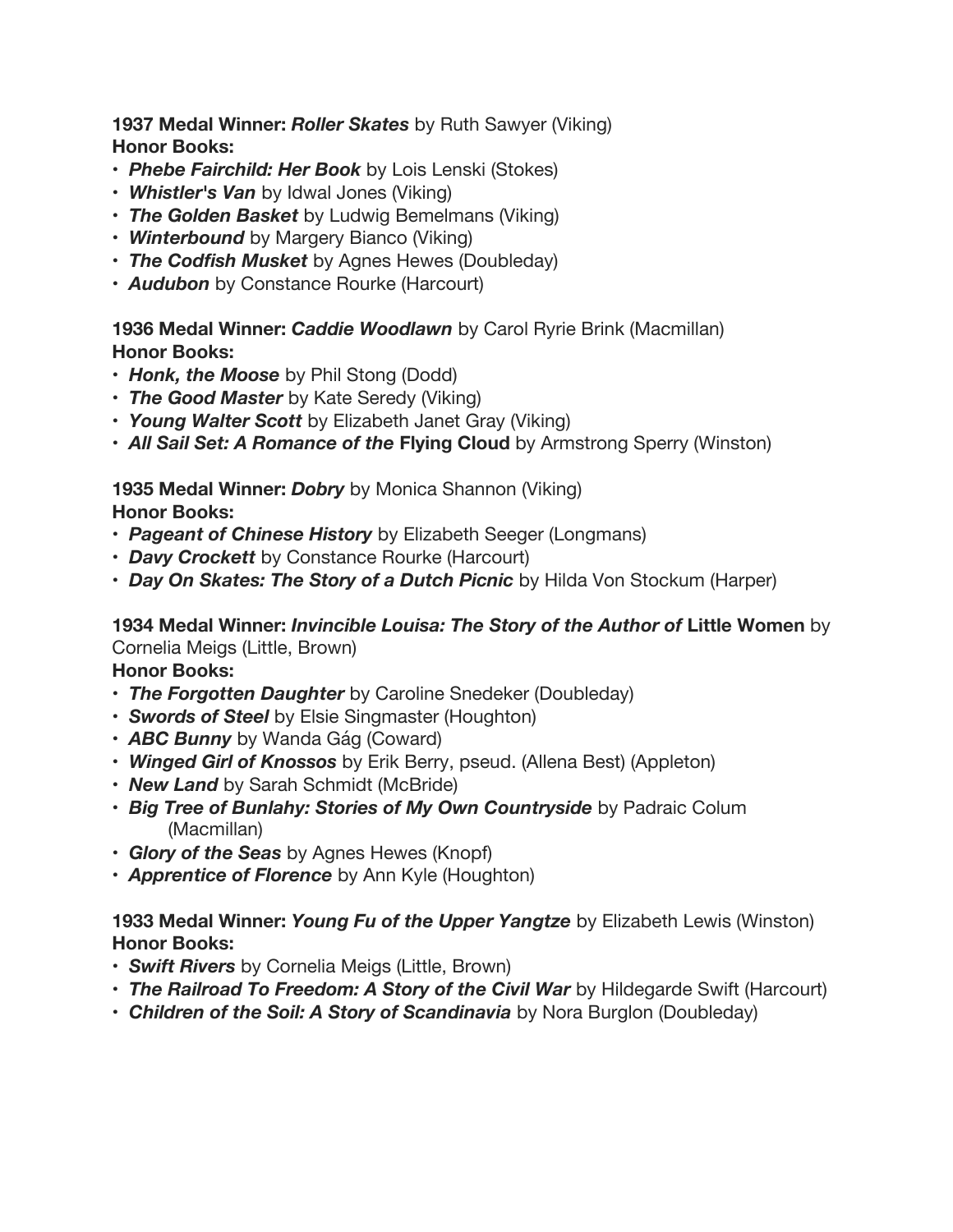**1937 Medal Winner:** *Roller Skates* by Ruth Sawyer (Viking) **Honor Books:**

- *Phebe Fairchild: Her Book* by Lois Lenski (Stokes)
- *Whistler's Van* by Idwal Jones (Viking)
- *The Golden Basket* by Ludwig Bemelmans (Viking)
- *Winterbound* by Margery Bianco (Viking)
- *The Codfish Musket* by Agnes Hewes (Doubleday)
- *Audubon* by Constance Rourke (Harcourt)

**1936 Medal Winner:** *Caddie Woodlawn* by Carol Ryrie Brink (Macmillan) **Honor Books:**

- *Honk, the Moose* by Phil Stong (Dodd)
- *The Good Master* by Kate Seredy (Viking)
- *Young Walter Scott* by Elizabeth Janet Gray (Viking)
- *All Sail Set: A Romance of the* **Flying Cloud** by Armstrong Sperry (Winston)

**1935 Medal Winner:** *Dobry* by Monica Shannon (Viking) **Honor Books:**

- *Pageant of Chinese History* by Elizabeth Seeger (Longmans)
- *Davy Crockett* by Constance Rourke (Harcourt)
- *Day On Skates: The Story of a Dutch Picnic* by Hilda Von Stockum (Harper)

**1934 Medal Winner:** *Invincible Louisa: The Story of the Author of* **Little Women** by Cornelia Meigs (Little, Brown)

**Honor Books:**

- *The Forgotten Daughter* by Caroline Snedeker (Doubleday)
- *Swords of Steel* by Elsie Singmaster (Houghton)
- *ABC Bunny* by Wanda Gág (Coward)
- *Winged Girl of Knossos* by Erik Berry, pseud. (Allena Best) (Appleton)
- **New Land** by Sarah Schmidt (McBride)
- *Big Tree of Bunlahy: Stories of My Own Countryside* by Padraic Colum (Macmillan)
- *Glory of the Seas* by Agnes Hewes (Knopf)
- *Apprentice of Florence* by Ann Kyle (Houghton)

**1933 Medal Winner:** *Young Fu of the Upper Yangtze* by Elizabeth Lewis (Winston) **Honor Books:**

- *Swift Rivers* by Cornelia Meigs (Little, Brown)
- *The Railroad To Freedom: A Story of the Civil War* by Hildegarde Swift (Harcourt)
- *Children of the Soil: A Story of Scandinavia* by Nora Burglon (Doubleday)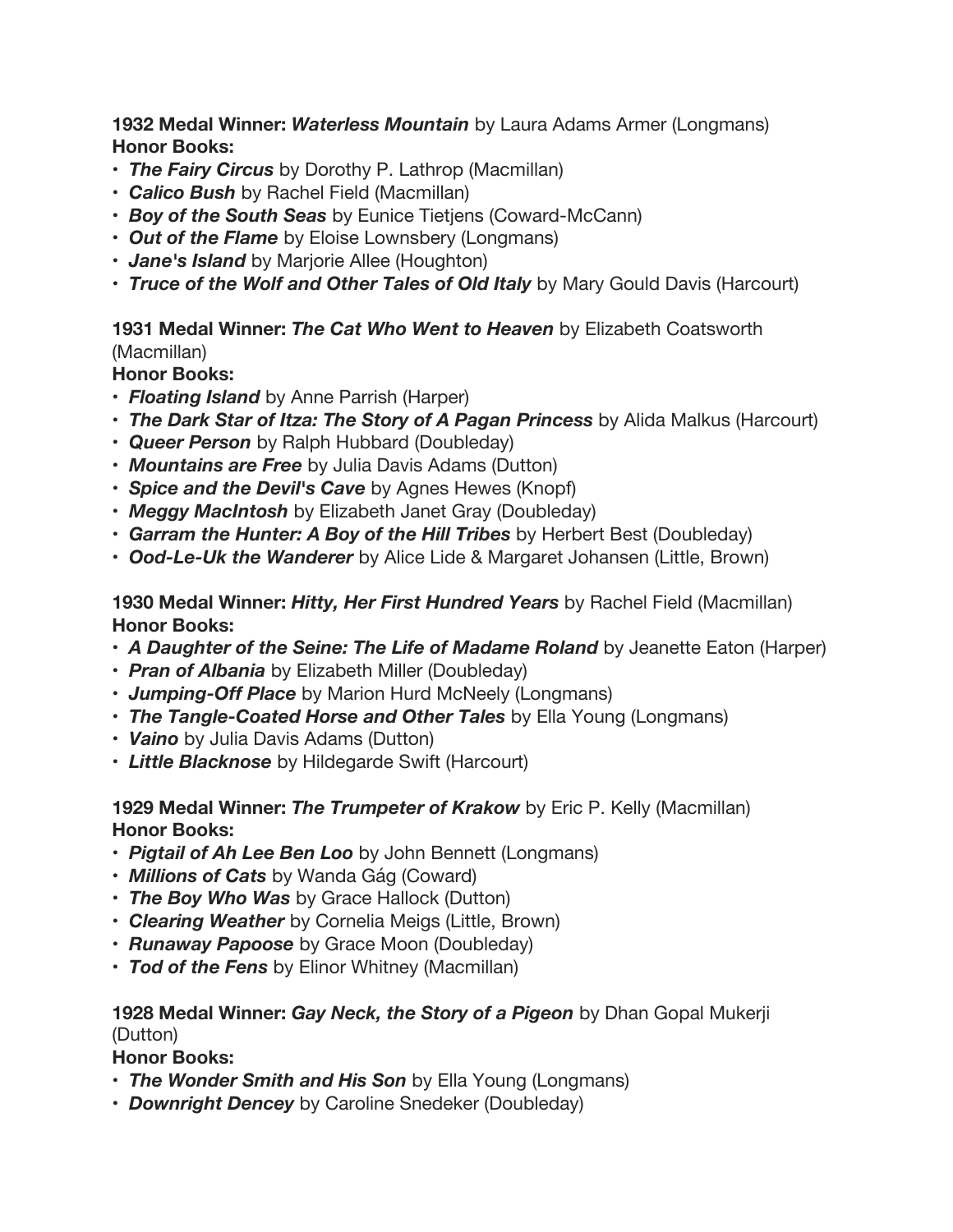**1932 Medal Winner:** *Waterless Mountain* by Laura Adams Armer (Longmans) **Honor Books:**

- *The Fairy Circus* by Dorothy P. Lathrop (Macmillan)
- *Calico Bush* by Rachel Field (Macmillan)
- *Boy of the South Seas* by Eunice Tietjens (Coward-McCann)
- *Out of the Flame* by Eloise Lownsbery (Longmans)
- *Jane's Island* by Marjorie Allee (Houghton)
- *Truce of the Wolf and Other Tales of Old Italy* by Mary Gould Davis (Harcourt)

#### **1931 Medal Winner:** *The Cat Who Went to Heaven* by Elizabeth Coatsworth (Macmillan)

#### **Honor Books:**

- *Floating Island* by Anne Parrish (Harper)
- *The Dark Star of Itza: The Story of A Pagan Princess* by Alida Malkus (Harcourt)
- *Queer Person* by Ralph Hubbard (Doubleday)
- *Mountains are Free* by Julia Davis Adams (Dutton)
- *Spice and the Devil's Cave* by Agnes Hewes (Knopf)
- *Meggy MacIntosh* by Elizabeth Janet Gray (Doubleday)
- *Garram the Hunter: A Boy of the Hill Tribes* by Herbert Best (Doubleday)
- *Ood-Le-Uk the Wanderer* by Alice Lide & Margaret Johansen (Little, Brown)

#### **1930 Medal Winner:** *Hitty, Her First Hundred Years* by Rachel Field (Macmillan) **Honor Books:**

- *A Daughter of the Seine: The Life of Madame Roland* by Jeanette Eaton (Harper)
- *Pran of Albania* by Elizabeth Miller (Doubleday)
- *Jumping-Off Place* by Marion Hurd McNeely (Longmans)
- *The Tangle-Coated Horse and Other Tales* by Ella Young (Longmans)
- *Vaino* by Julia Davis Adams (Dutton)
- *Little Blacknose* by Hildegarde Swift (Harcourt)

#### **1929 Medal Winner:** *The Trumpeter of Krakow* by Eric P. Kelly (Macmillan) **Honor Books:**

- *Pigtail of Ah Lee Ben Loo* by John Bennett (Longmans)
- *Millions of Cats* by Wanda Gág (Coward)
- *The Boy Who Was* by Grace Hallock (Dutton)
- *Clearing Weather* by Cornelia Meigs (Little, Brown)
- *Runaway Papoose* by Grace Moon (Doubleday)
- *Tod of the Fens* by Elinor Whitney (Macmillan)

#### **1928 Medal Winner:** *Gay Neck, the Story of a Pigeon* by Dhan Gopal Mukerji (Dutton)

- *The Wonder Smith and His Son* by Ella Young (Longmans)
- *Downright Dencey* by Caroline Snedeker (Doubleday)